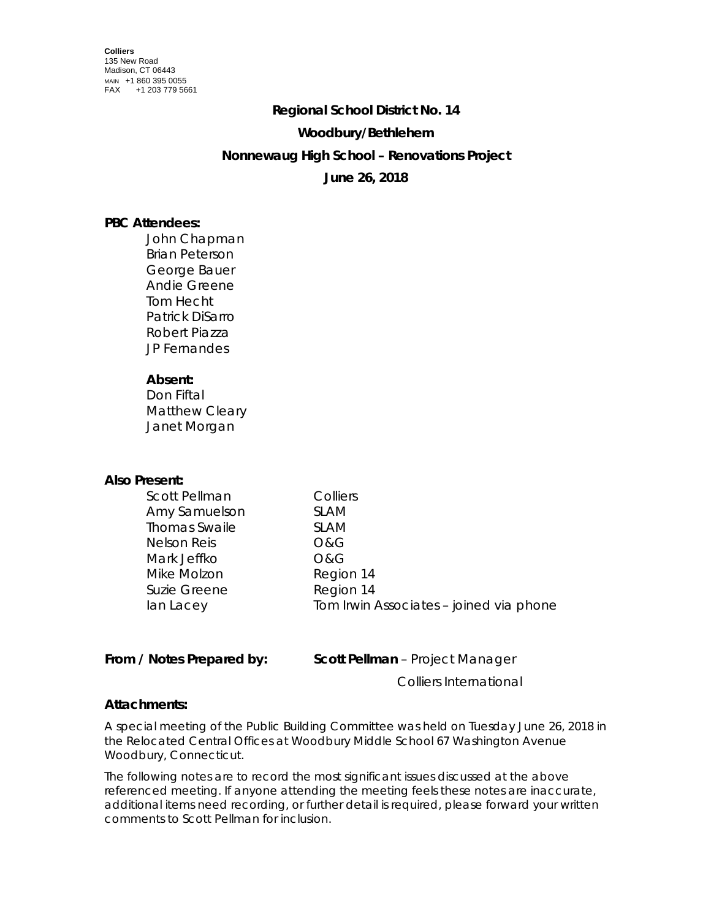### **Regional School District No. 14**

## **Woodbury/Bethlehem**

## **Nonnewaug High School – Renovations Project**

# **June 26, 2018**

# **PBC Attendees:**

John Chapman Brian Peterson George Bauer Andie Greene Tom Hecht Patrick DiSarro Robert Piazza JP Fernandes

# **Absent:**

Don Fiftal Matthew Cleary Janet Morgan

## **Also Present:**

| <b>Scott Pellman</b> | Colliers                                |
|----------------------|-----------------------------------------|
| Amy Samuelson        | <b>SLAM</b>                             |
| <b>Thomas Swaile</b> | <b>SLAM</b>                             |
| Nelson Reis          | <b>O&amp;G</b>                          |
| Mark Jeffko          | <b>O&amp;G</b>                          |
| Mike Molzon          | Region 14                               |
| Suzie Greene         | Region 14                               |
| lan Lacey            | Tom Irwin Associates - joined via phone |
|                      |                                         |

## **From / Notes Prepared by: Scott Pellman** – Project Manager

Colliers International

## **Attachments:**

A special meeting of the Public Building Committee was held on Tuesday June 26, 2018 in the Relocated Central Offices at Woodbury Middle School 67 Washington Avenue Woodbury, Connecticut.

The following notes are to record the most significant issues discussed at the above referenced meeting. If anyone attending the meeting feels these notes are inaccurate, additional items need recording, or further detail is required, please forward your written comments to Scott Pellman for inclusion.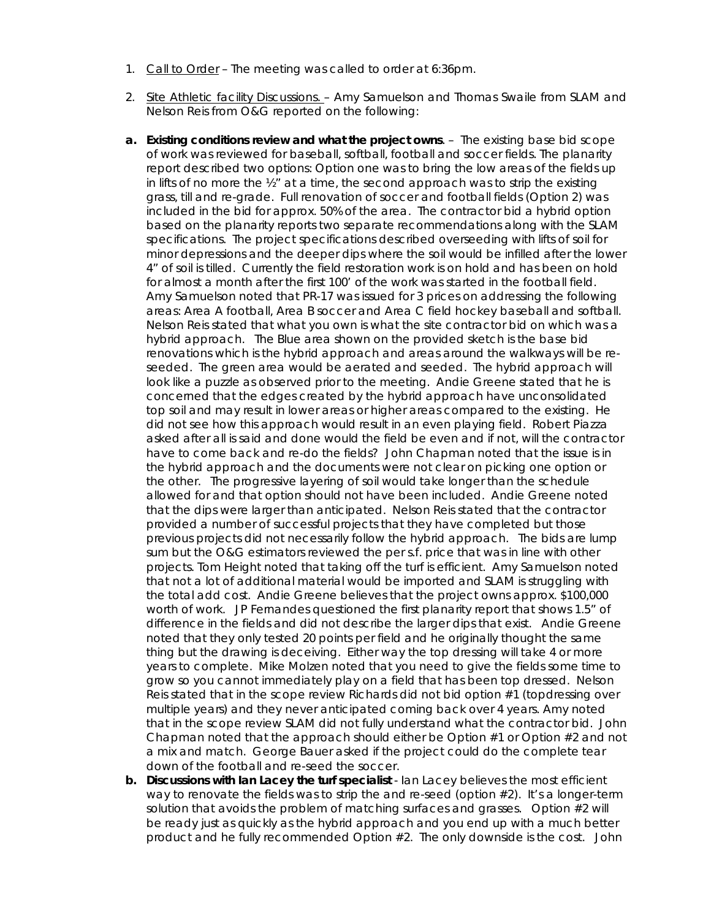- 1. Call to Order The meeting was called to order at 6:36pm.
- 2. Site Athletic facility Discussions. Amy Samuelson and Thomas Swaile from SLAM and Nelson Reis from O&G reported on the following:
- **a. Existing conditions review and what the project owns**. The existing base bid scope of work was reviewed for baseball, softball, football and soccer fields. The planarity report described two options: Option one was to bring the low areas of the fields up in lifts of no more the ½" at a time, the second approach was to strip the existing grass, till and re-grade. Full renovation of soccer and football fields (Option 2) was included in the bid for approx. 50% of the area. The contractor bid a hybrid option based on the planarity reports two separate recommendations along with the SLAM specifications. The project specifications described overseeding with lifts of soil for minor depressions and the deeper dips where the soil would be infilled after the lower 4" of soil is tilled. Currently the field restoration work is on hold and has been on hold for almost a month after the first 100' of the work was started in the football field. Amy Samuelson noted that PR-17 was issued for 3 prices on addressing the following areas: Area A football, Area B soccer and Area C field hockey baseball and softball. Nelson Reis stated that what you own is what the site contractor bid on which was a hybrid approach. The Blue area shown on the provided sketch is the base bid renovations which is the hybrid approach and areas around the walkways will be reseeded. The green area would be aerated and seeded. The hybrid approach will look like a puzzle as observed prior to the meeting. Andie Greene stated that he is concerned that the edges created by the hybrid approach have unconsolidated top soil and may result in lower areas or higher areas compared to the existing. He did not see how this approach would result in an even playing field. Robert Piazza asked after all is said and done would the field be even and if not, will the contractor have to come back and re-do the fields? John Chapman noted that the issue is in the hybrid approach and the documents were not clear on picking one option or the other. The progressive layering of soil would take longer than the schedule allowed for and that option should not have been included. Andie Greene noted that the dips were larger than anticipated. Nelson Reis stated that the contractor provided a number of successful projects that they have completed but those previous projects did not necessarily follow the hybrid approach. The bids are lump sum but the O&G estimators reviewed the per s.f. price that was in line with other projects. Tom Height noted that taking off the turf is efficient. Amy Samuelson noted that not a lot of additional material would be imported and SLAM is struggling with the total add cost. Andie Greene believes that the project owns approx. \$100,000 worth of work. JP Fernandes questioned the first planarity report that shows 1.5" of difference in the fields and did not describe the larger dips that exist. Andie Greene noted that they only tested 20 points per field and he originally thought the same thing but the drawing is deceiving. Either way the top dressing will take 4 or more years to complete. Mike Molzen noted that you need to give the fields some time to grow so you cannot immediately play on a field that has been top dressed. Nelson Reis stated that in the scope review Richards did not bid option #1 (topdressing over multiple years) and they never anticipated coming back over 4 years. Amy noted that in the scope review SLAM did not fully understand what the contractor bid. John Chapman noted that the approach should either be Option  $#1$  or Option  $#2$  and not a mix and match. George Bauer asked if the project could do the complete tear down of the football and re-seed the soccer.
- **b. Discussions with Ian Lacey the turf specialist** Ian Lacey believes the most efficient way to renovate the fields was to strip the and re-seed (option #2). It's a longer-term solution that avoids the problem of matching surfaces and grasses. Option #2 will be ready just as quickly as the hybrid approach and you end up with a much better product and he fully recommended Option #2. The only downside is the cost. John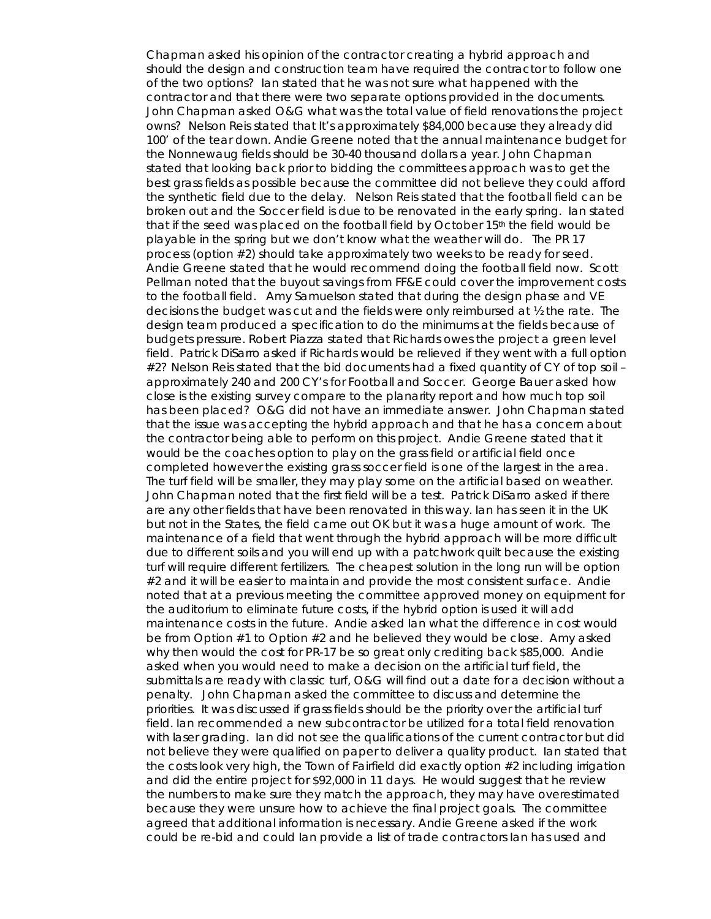Chapman asked his opinion of the contractor creating a hybrid approach and should the design and construction team have required the contractor to follow one of the two options? Ian stated that he was not sure what happened with the contractor and that there were two separate options provided in the documents. John Chapman asked O&G what was the total value of field renovations the project owns? Nelson Reis stated that It's approximately \$84,000 because they already did 100' of the tear down. Andie Greene noted that the annual maintenance budget for the Nonnewaug fields should be 30-40 thousand dollars a year. John Chapman stated that looking back prior to bidding the committees approach was to get the best grass fields as possible because the committee did not believe they could afford the synthetic field due to the delay. Nelson Reis stated that the football field can be broken out and the Soccer field is due to be renovated in the early spring. Ian stated that if the seed was placed on the football field by October 15<sup>th</sup> the field would be playable in the spring but we don't know what the weather will do. The PR 17 process (option #2) should take approximately two weeks to be ready for seed. Andie Greene stated that he would recommend doing the football field now. Scott Pellman noted that the buyout savings from FF&E could cover the improvement costs to the football field. Amy Samuelson stated that during the design phase and VE decisions the budget was cut and the fields were only reimbursed at ½ the rate. The design team produced a specification to do the minimums at the fields because of budgets pressure. Robert Piazza stated that Richards owes the project a green level field. Patrick DiSarro asked if Richards would be relieved if they went with a full option #2? Nelson Reis stated that the bid documents had a fixed quantity of CY of top soil – approximately 240 and 200 CY's for Football and Soccer. George Bauer asked how close is the existing survey compare to the planarity report and how much top soil has been placed? O&G did not have an immediate answer. John Chapman stated that the issue was accepting the hybrid approach and that he has a concern about the contractor being able to perform on this project. Andie Greene stated that it would be the coaches option to play on the grass field or artificial field once completed however the existing grass soccer field is one of the largest in the area. The turf field will be smaller, they may play some on the artificial based on weather. John Chapman noted that the first field will be a test. Patrick DiSarro asked if there are any other fields that have been renovated in this way. Ian has seen it in the UK but not in the States, the field came out OK but it was a huge amount of work. The maintenance of a field that went through the hybrid approach will be more difficult due to different soils and you will end up with a patchwork quilt because the existing turf will require different fertilizers. The cheapest solution in the long run will be option #2 and it will be easier to maintain and provide the most consistent surface. Andie noted that at a previous meeting the committee approved money on equipment for the auditorium to eliminate future costs, if the hybrid option is used it will add maintenance costs in the future. Andie asked Ian what the difference in cost would be from Option #1 to Option #2 and he believed they would be close. Amy asked why then would the cost for PR-17 be so great only crediting back \$85,000. Andie asked when you would need to make a decision on the artificial turf field, the submittals are ready with classic turf, O&G will find out a date for a decision without a penalty. John Chapman asked the committee to discuss and determine the priorities. It was discussed if grass fields should be the priority over the artificial turf field. Ian recommended a new subcontractor be utilized for a total field renovation with laser grading. Ian did not see the qualifications of the current contractor but did not believe they were qualified on paper to deliver a quality product. Ian stated that the costs look very high, the Town of Fairfield did exactly option #2 including irrigation and did the entire project for \$92,000 in 11 days. He would suggest that he review the numbers to make sure they match the approach, they may have overestimated because they were unsure how to achieve the final project goals. The committee agreed that additional information is necessary. Andie Greene asked if the work could be re-bid and could Ian provide a list of trade contractors Ian has used and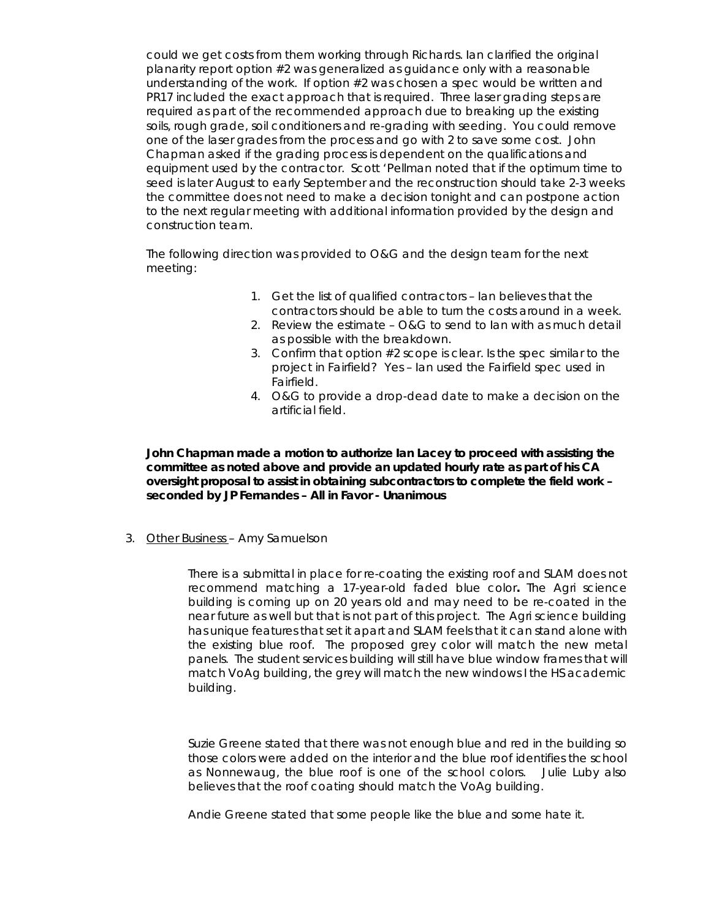could we get costs from them working through Richards. Ian clarified the original planarity report option #2 was generalized as guidance only with a reasonable understanding of the work. If option #2 was chosen a spec would be written and PR17 included the exact approach that is required. Three laser grading steps are required as part of the recommended approach due to breaking up the existing soils, rough grade, soil conditioners and re-grading with seeding. You could remove one of the laser grades from the process and go with 2 to save some cost. John Chapman asked if the grading process is dependent on the qualifications and equipment used by the contractor. Scott 'Pellman noted that if the optimum time to seed is later August to early September and the reconstruction should take 2-3 weeks the committee does not need to make a decision tonight and can postpone action to the next regular meeting with additional information provided by the design and construction team.

The following direction was provided to O&G and the design team for the next meeting:

- 1. Get the list of qualified contractors Ian believes that the contractors should be able to turn the costs around in a week.
- 2. Review the estimate O&G to send to Ian with as much detail as possible with the breakdown.
- 3. Confirm that option #2 scope is clear. Is the spec similar to the project in Fairfield? Yes – Ian used the Fairfield spec used in Fairfield.
- 4. O&G to provide a drop-dead date to make a decision on the artificial field.

**John Chapman made a motion to authorize Ian Lacey to proceed with assisting the committee as noted above and provide an updated hourly rate as part of his CA oversight proposal to assist in obtaining subcontractors to complete the field work – seconded by JP Fernandes – All in Favor - Unanimous**

3. Other Business – Amy Samuelson

There is a submittal in place for re-coating the existing roof and SLAM does not recommend matching a 17-year-old faded blue color**.** The Agri science building is coming up on 20 years old and may need to be re-coated in the near future as well but that is not part of this project. The Agri science building has unique features that set it apart and SLAM feels that it can stand alone with the existing blue roof. The proposed grey color will match the new metal panels. The student services building will still have blue window frames that will match VoAg building, the grey will match the new windows I the HS academic building.

Suzie Greene stated that there was not enough blue and red in the building so those colors were added on the interior and the blue roof identifies the school as Nonnewaug, the blue roof is one of the school colors. Julie Luby also believes that the roof coating should match the VoAg building.

Andie Greene stated that some people like the blue and some hate it.